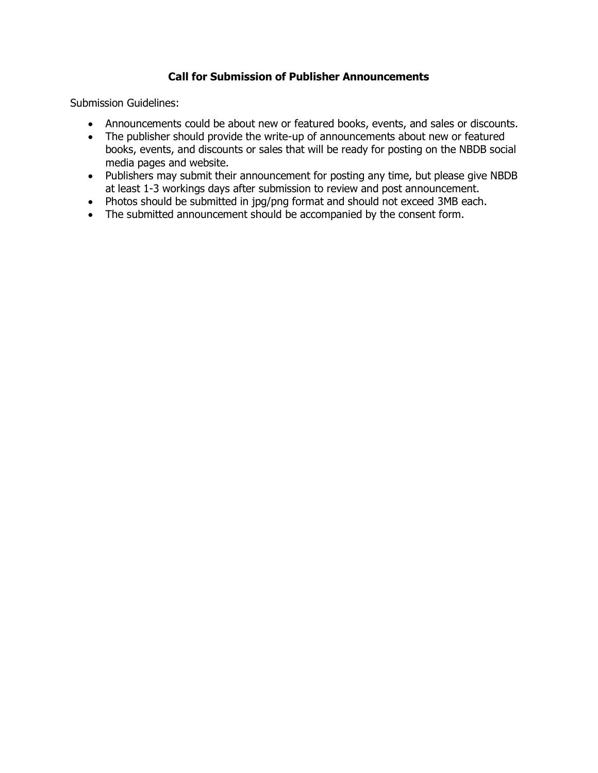## **Call for Submission of Publisher Announcements**

Submission Guidelines:

- Announcements could be about new or featured books, events, and sales or discounts.
- The publisher should provide the write-up of announcements about new or featured books, events, and discounts or sales that will be ready for posting on the NBDB social media pages and website.
- Publishers may submit their announcement for posting any time, but please give NBDB at least 1-3 workings days after submission to review and post announcement.
- Photos should be submitted in jpg/png format and should not exceed 3MB each.
- The submitted announcement should be accompanied by the consent form.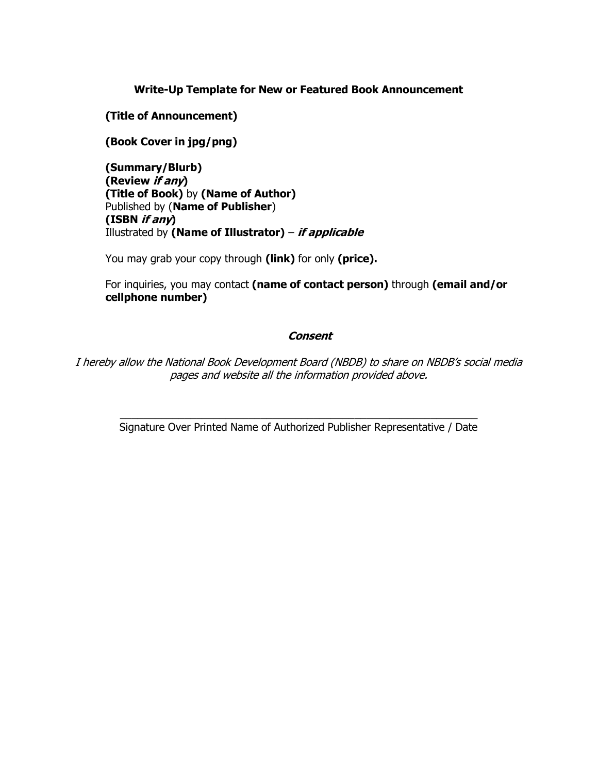### **Write-Up Template for New or Featured Book Announcement**

**(Title of Announcement)**

**(Book Cover in jpg/png)**

**(Summary/Blurb) (Review if any) (Title of Book)** by **(Name of Author)** Published by (**Name of Publisher**) **(ISBN if any)** Illustrated by **(Name of Illustrator)** – **if applicable**

You may grab your copy through **(link)** for only **(price).**

For inquiries, you may contact **(name of contact person)** through **(email and/or cellphone number)** 

## **Consent**

I hereby allow the National Book Development Board (NBDB) to share on NBDB's social media pages and website all the information provided above.

\_\_\_\_\_\_\_\_\_\_\_\_\_\_\_\_\_\_\_\_\_\_\_\_\_\_\_\_\_\_\_\_\_\_\_\_\_\_\_\_\_\_\_\_\_\_\_\_\_\_\_\_\_\_\_\_\_\_\_\_\_ Signature Over Printed Name of Authorized Publisher Representative / Date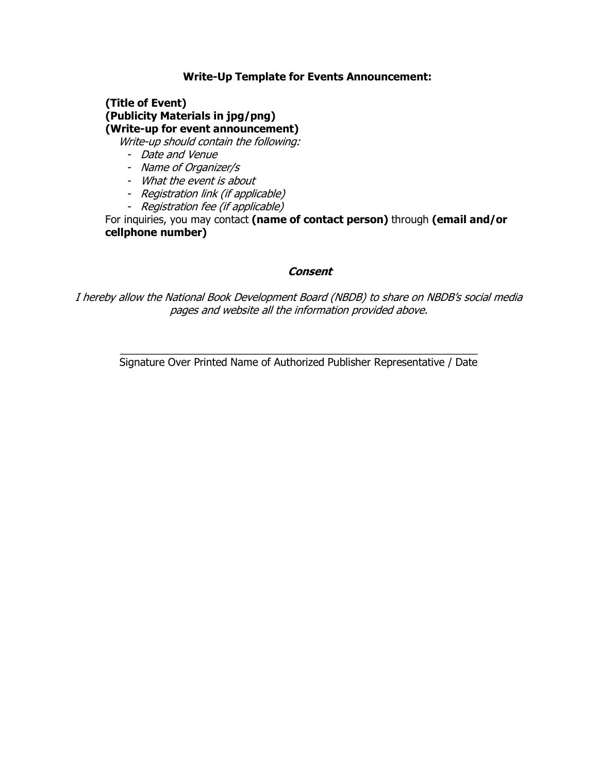## **Write-Up Template for Events Announcement:**

# **(Title of Event) (Publicity Materials in jpg/png) (Write-up for event announcement)**

Write-up should contain the following:

- Date and Venue
- Name of Organizer/s
- What the event is about
- Registration link (if applicable)
- Registration fee (if applicable)

For inquiries, you may contact **(name of contact person)** through **(email and/or cellphone number)**

### **Consent**

I hereby allow the National Book Development Board (NBDB) to share on NBDB's social media pages and website all the information provided above.

 $\_$  , and the set of the set of the set of the set of the set of the set of the set of the set of the set of the set of the set of the set of the set of the set of the set of the set of the set of the set of the set of th Signature Over Printed Name of Authorized Publisher Representative / Date